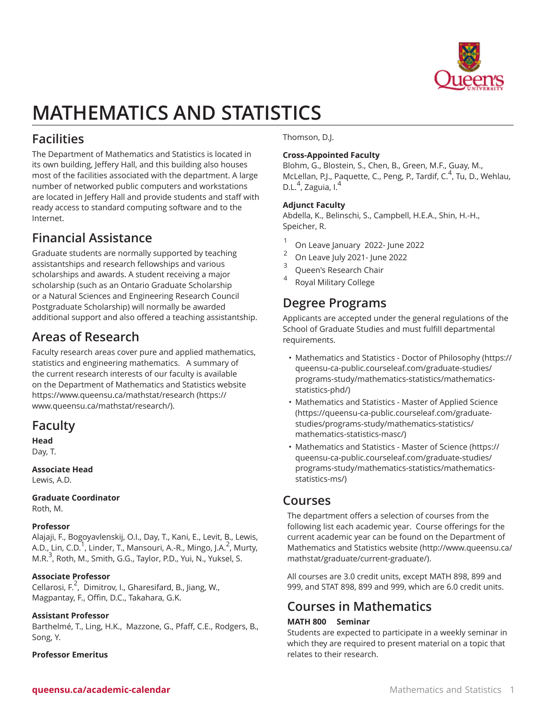

# **MATHEMATICS AND STATISTICS**

# **Facilities**

The Department of Mathematics and Statistics is located in its own building, Jeffery Hall, and this building also houses most of the facilities associated with the department. A large number of networked public computers and workstations are located in Jeffery Hall and provide students and staff with ready access to standard computing software and to the Internet.

# **Financial Assistance**

Graduate students are normally supported by teaching assistantships and research fellowships and various scholarships and awards. A student receiving a major scholarship (such as an Ontario Graduate Scholarship or a Natural Sciences and Engineering Research Council Postgraduate Scholarship) will normally be awarded additional support and also offered a teaching assistantship.

# **Areas of Research**

Faculty research areas cover pure and applied mathematics, statistics and engineering mathematics. A summary of the current research interests of our faculty is available on the Department of Mathematics and Statistics website [https://www.queensu.ca/mathstat/research](https://www.queensu.ca/mathstat/research/) [\(https://](https://www.queensu.ca/mathstat/research/) [www.queensu.ca/mathstat/research/\)](https://www.queensu.ca/mathstat/research/).

# **Faculty**

**Head** Day, T.

### **Associate Head**

Lewis, A.D.

# **Graduate Coordinator**

Roth, M.

### **Professor**

Alajaji, F., Bogoyavlenskij, O.I., Day, T., Kani, E., Levit, B., Lewis, A.D., Lin, C.D.<sup>1</sup>, Linder, T., Mansouri, A.-R., Mingo, J.A.<sup>2</sup>, Murty, M.R.<sup>3</sup>, Roth, M., Smith, G.G., Taylor, P.D., Yui, N., Yuksel, S.

### **Associate Professor**

Cellarosi, F.<sup>2</sup>, Dimitrov, I., Gharesifard, B., Jiang, W., Magpantay, F., Offin, D.C., Takahara, G.K.

### **Assistant Professor**

Barthelmé, T., Ling, H.K., Mazzone, G., Pfaff, C.E., Rodgers, B., Song, Y.

### **Professor Emeritus**

Thomson, D.J.

# **Cross-Appointed Faculty**

Blohm, G., Blostein, S., Chen, B., Green, M.F., Guay, M., McLellan, P.J., Paquette, C., Peng, P., Tardif, C.<sup>4</sup>, Tu, D., Wehlau, D.L.<sup>4</sup>, Zaguia, I.<sup>4</sup>

## **Adjunct Faculty**

Abdella, K., Belinschi, S., Campbell, H.E.A., Shin, H.-H., Speicher, R.

- 1 On Leave January 2022- June 2022
- 2 On Leave July 2021- June 2022
- 3 Queen's Research Chair
- 4 Royal Military College

# **Degree Programs**

Applicants are accepted under the general regulations of the School of Graduate Studies and must fulfill departmental requirements.

- [Mathematics and Statistics Doctor of Philosophy](https://queensu-ca-public.courseleaf.com/graduate-studies/programs-study/mathematics-statistics/mathematics-statistics-phd/) ([https://](https://queensu-ca-public.courseleaf.com/graduate-studies/programs-study/mathematics-statistics/mathematics-statistics-phd/) [queensu-ca-public.courseleaf.com/graduate-studies/](https://queensu-ca-public.courseleaf.com/graduate-studies/programs-study/mathematics-statistics/mathematics-statistics-phd/) [programs-study/mathematics-statistics/mathematics](https://queensu-ca-public.courseleaf.com/graduate-studies/programs-study/mathematics-statistics/mathematics-statistics-phd/)[statistics-phd/](https://queensu-ca-public.courseleaf.com/graduate-studies/programs-study/mathematics-statistics/mathematics-statistics-phd/))
- [Mathematics and Statistics Master of Applied Science](https://queensu-ca-public.courseleaf.com/graduate-studies/programs-study/mathematics-statistics/mathematics-statistics-masc/) ([https://queensu-ca-public.courseleaf.com/graduate](https://queensu-ca-public.courseleaf.com/graduate-studies/programs-study/mathematics-statistics/mathematics-statistics-masc/)[studies/programs-study/mathematics-statistics/](https://queensu-ca-public.courseleaf.com/graduate-studies/programs-study/mathematics-statistics/mathematics-statistics-masc/) [mathematics-statistics-masc/](https://queensu-ca-public.courseleaf.com/graduate-studies/programs-study/mathematics-statistics/mathematics-statistics-masc/))
- [Mathematics and Statistics Master of Science](https://queensu-ca-public.courseleaf.com/graduate-studies/programs-study/mathematics-statistics/mathematics-statistics-ms/) [\(https://](https://queensu-ca-public.courseleaf.com/graduate-studies/programs-study/mathematics-statistics/mathematics-statistics-ms/) [queensu-ca-public.courseleaf.com/graduate-studies/](https://queensu-ca-public.courseleaf.com/graduate-studies/programs-study/mathematics-statistics/mathematics-statistics-ms/) [programs-study/mathematics-statistics/mathematics](https://queensu-ca-public.courseleaf.com/graduate-studies/programs-study/mathematics-statistics/mathematics-statistics-ms/)[statistics-ms/](https://queensu-ca-public.courseleaf.com/graduate-studies/programs-study/mathematics-statistics/mathematics-statistics-ms/))

# **Courses**

The department offers a selection of courses from the following list each academic year. Course offerings for the current academic year can be found on the [Department of](http://www.queensu.ca/mathstat/graduate/current-graduate/) [Mathematics and Statistics website](http://www.queensu.ca/mathstat/graduate/current-graduate/) ([http://www.queensu.ca/](http://www.queensu.ca/mathstat/graduate/current-graduate/) [mathstat/graduate/current-graduate/\)](http://www.queensu.ca/mathstat/graduate/current-graduate/).

All courses are 3.0 credit units, except MATH 898, 899 and 999, and STAT 898, 899 and 999, which are 6.0 credit units.

# **Courses in Mathematics**

### **MATH 800 Seminar**

Students are expected to participate in a weekly seminar in which they are required to present material on a topic that relates to their research.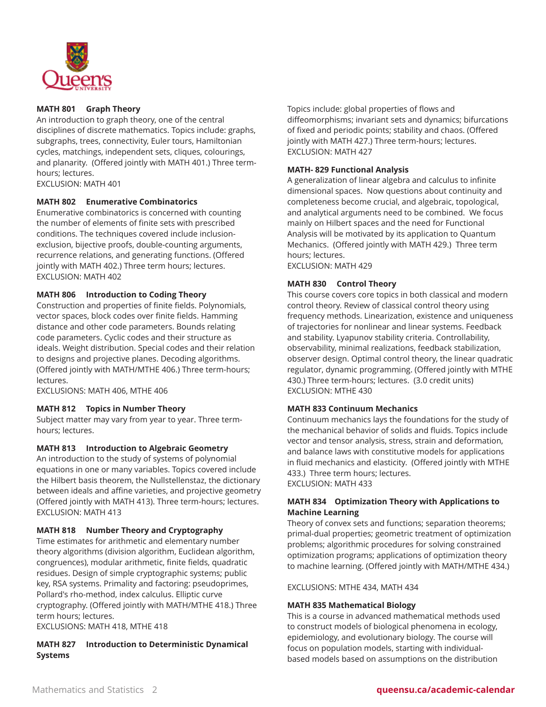

#### **MATH 801 Graph Theory**

An introduction to graph theory, one of the central disciplines of discrete mathematics. Topics include: graphs, subgraphs, trees, connectivity, Euler tours, Hamiltonian cycles, matchings, independent sets, cliques, colourings, and planarity. (Offered jointly with MATH 401.) Three termhours; lectures.

EXCLUSION: MATH 401

### **MATH 802 Enumerative Combinatorics**

Enumerative combinatorics is concerned with counting the number of elements of finite sets with prescribed conditions. The techniques covered include inclusionexclusion, bijective proofs, double-counting arguments, recurrence relations, and generating functions. (Offered jointly with MATH 402.) Three term hours; lectures. EXCLUSION: MATH 402

#### **MATH 806 Introduction to Coding Theory**

Construction and properties of finite fields. Polynomials, vector spaces, block codes over finite fields. Hamming distance and other code parameters. Bounds relating code parameters. Cyclic codes and their structure as ideals. Weight distribution. Special codes and their relation to designs and projective planes. Decoding algorithms. (Offered jointly with MATH/MTHE 406.) Three term-hours; lectures.

EXCLUSIONS: MATH 406, MTHE 406

#### **MATH 812 Topics in Number Theory**

Subject matter may vary from year to year. Three termhours; lectures.

#### **MATH 813 Introduction to Algebraic Geometry**

An introduction to the study of systems of polynomial equations in one or many variables. Topics covered include the Hilbert basis theorem, the Nullstellenstaz, the dictionary between ideals and affine varieties, and projective geometry (Offered jointly with MATH 413). Three term-hours; lectures. EXCLUSION: MATH 413

#### **MATH 818 Number Theory and Cryptography**

Time estimates for arithmetic and elementary number theory algorithms (division algorithm, Euclidean algorithm, congruences), modular arithmetic, finite fields, quadratic residues. Design of simple cryptographic systems; public key, RSA systems. Primality and factoring: pseudoprimes, Pollard's rho-method, index calculus. Elliptic curve cryptography. (Offered jointly with MATH/MTHE 418.) Three term hours; lectures.

EXCLUSIONS: MATH 418, MTHE 418

#### **MATH 827 Introduction to Deterministic Dynamical Systems**

Topics include: global properties of flows and diffeomorphisms; invariant sets and dynamics; bifurcations of fixed and periodic points; stability and chaos. (Offered jointly with MATH 427.) Three term-hours; lectures. EXCLUSION: MATH 427

#### **MATH- 829 Functional Analysis**

A generalization of linear algebra and calculus to infinite dimensional spaces. Now questions about continuity and completeness become crucial, and algebraic, topological, and analytical arguments need to be combined. We focus mainly on Hilbert spaces and the need for Functional Analysis will be motivated by its application to Quantum Mechanics. (Offered jointly with MATH 429.) Three term hours; lectures. EXCLUSION: MATH 429

**MATH 830 Control Theory**

This course covers core topics in both classical and modern control theory. Review of classical control theory using frequency methods. Linearization, existence and uniqueness of trajectories for nonlinear and linear systems. Feedback and stability. Lyapunov stability criteria. Controllability, observability, minimal realizations, feedback stabilization, observer design. Optimal control theory, the linear quadratic regulator, dynamic programming. (Offered jointly with MTHE 430.) Three term-hours; lectures. (3.0 credit units) EXCLUSION: MTHE 430

#### **MATH 833 Continuum Mechanics**

Continuum mechanics lays the foundations for the study of the mechanical behavior of solids and fluids. Topics include vector and tensor analysis, stress, strain and deformation, and balance laws with constitutive models for applications in fluid mechanics and elasticity. (Offered jointly with MTHE 433.) Three term hours; lectures. EXCLUSION: MATH 433

#### **MATH 834 Optimization Theory with Applications to Machine Learning**

Theory of convex sets and functions; separation theorems; primal-dual properties; geometric treatment of optimization problems; algorithmic procedures for solving constrained optimization programs; applications of optimization theory to machine learning. (Offered jointly with MATH/MTHE 434.)

EXCLUSIONS: MTHE 434, MATH 434

#### **MATH 835 Mathematical Biology**

This is a course in advanced mathematical methods used to construct models of biological phenomena in ecology, epidemiology, and evolutionary biology. The course will focus on population models, starting with individualbased models based on assumptions on the distribution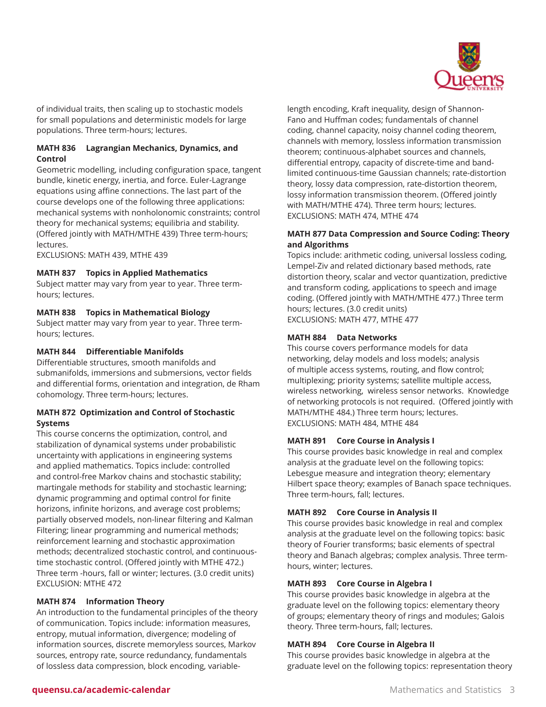

of individual traits, then scaling up to stochastic models for small populations and deterministic models for large populations. Three term-hours; lectures.

### **MATH 836 Lagrangian Mechanics, Dynamics, and Control**

Geometric modelling, including configuration space, tangent bundle, kinetic energy, inertia, and force. Euler-Lagrange equations using affine connections. The last part of the course develops one of the following three applications: mechanical systems with nonholonomic constraints; control theory for mechanical systems; equilibria and stability. (Offered jointly with MATH/MTHE 439) Three term-hours; lectures.

EXCLUSIONS: MATH 439, MTHE 439

#### **MATH 837 Topics in Applied Mathematics**

Subject matter may vary from year to year. Three termhours; lectures.

#### **MATH 838 Topics in Mathematical Biology**

Subject matter may vary from year to year. Three termhours; lectures.

#### **MATH 844 Differentiable Manifolds**

Differentiable structures, smooth manifolds and submanifolds, immersions and submersions, vector fields and differential forms, orientation and integration, de Rham cohomology. Three term-hours; lectures.

#### **MATH 872 Optimization and Control of Stochastic Systems**

This course concerns the optimization, control, and stabilization of dynamical systems under probabilistic uncertainty with applications in engineering systems and applied mathematics. Topics include: controlled and control-free Markov chains and stochastic stability; martingale methods for stability and stochastic learning; dynamic programming and optimal control for finite horizons, infinite horizons, and average cost problems; partially observed models, non-linear filtering and Kalman Filtering; linear programming and numerical methods; reinforcement learning and stochastic approximation methods; decentralized stochastic control, and continuoustime stochastic control. (Offered jointly with MTHE 472.) Three term -hours, fall or winter; lectures. (3.0 credit units) EXCLUSION: MTHE 472

#### **MATH 874 Information Theory**

An introduction to the fundamental principles of the theory of communication. Topics include: information measures, entropy, mutual information, divergence; modeling of information sources, discrete memoryless sources, Markov sources, entropy rate, source redundancy, fundamentals of lossless data compression, block encoding, variablelength encoding, Kraft inequality, design of Shannon-Fano and Huffman codes; fundamentals of channel coding, channel capacity, noisy channel coding theorem, channels with memory, lossless information transmission theorem; continuous-alphabet sources and channels, differential entropy, capacity of discrete-time and bandlimited continuous-time Gaussian channels; rate-distortion theory, lossy data compression, rate-distortion theorem, lossy information transmission theorem. (Offered jointly with MATH/MTHE 474). Three term hours; lectures. EXCLUSIONS: MATH 474, MTHE 474

#### **MATH 877 Data Compression and Source Coding: Theory and Algorithms**

Topics include: arithmetic coding, universal lossless coding, Lempel-Ziv and related dictionary based methods, rate distortion theory, scalar and vector quantization, predictive and transform coding, applications to speech and image coding. (Offered jointly with MATH/MTHE 477.) Three term hours; lectures. (3.0 credit units) EXCLUSIONS: MATH 477, MTHE 477

#### **MATH 884 Data Networks**

This course covers performance models for data networking, delay models and loss models; analysis of multiple access systems, routing, and flow control; multiplexing; priority systems; satellite multiple access, wireless networking, wireless sensor networks. Knowledge of networking protocols is not required. (Offered jointly with MATH/MTHE 484.) Three term hours; lectures. EXCLUSIONS: MATH 484, MTHE 484

#### **MATH 891 Core Course in Analysis I**

This course provides basic knowledge in real and complex analysis at the graduate level on the following topics: Lebesgue measure and integration theory; elementary Hilbert space theory; examples of Banach space techniques. Three term-hours, fall; lectures.

### **MATH 892 Core Course in Analysis II**

This course provides basic knowledge in real and complex analysis at the graduate level on the following topics: basic theory of Fourier transforms; basic elements of spectral theory and Banach algebras; complex analysis. Three termhours, winter; lectures.

#### **MATH 893 Core Course in Algebra I**

This course provides basic knowledge in algebra at the graduate level on the following topics: elementary theory of groups; elementary theory of rings and modules; Galois theory. Three term-hours, fall; lectures.

#### **MATH 894 Core Course in Algebra II**

This course provides basic knowledge in algebra at the graduate level on the following topics: representation theory

### **queensu.ca/academic-calendar** Mathematics and Statistics 3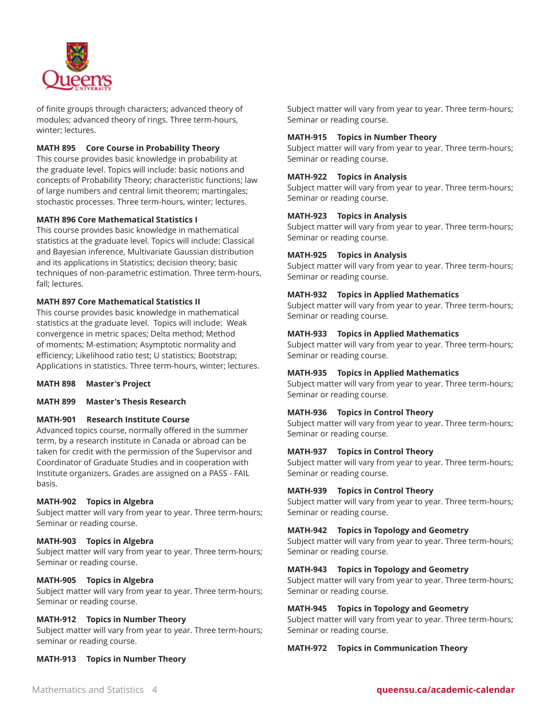

of finite groups through characters; advanced theory of modules; advanced theory of rings. Three term-hours, winter; lectures.

#### **MATH 895 Core Course in Probability Theory**

This course provides basic knowledge in probability at the graduate level. Topics will include: basic notions and concepts of Probability Theory; characteristic functions; law of large numbers and central limit theorem; martingales; stochastic processes. Three term-hours, winter; lectures.

#### **MATH 896 Core Mathematical Statistics I**

This course provides basic knowledge in mathematical statistics at the graduate level. Topics will include: Classical and Bayesian inference, Multivariate Gaussian distribution and its applications in Statistics; decision theory; basic techniques of non-parametric estimation. Three term-hours, fall; lectures.

#### **MATH 897 Core Mathematical Statistics II**

This course provides basic knowledge in mathematical statistics at the graduate level. Topics will include: Weak convergence in metric spaces; Delta method; Method of moments; M-estimation; Asymptotic normality and efficiency; Likelihood ratio test; U statistics; Bootstrap; Applications in statistics. Three term-hours, winter; lectures.

**MATH 898 Master's Project**

**MATH 899 Master's Thesis Research**

#### **MATH-901 Research Institute Course**

Advanced topics course, normally offered in the summer term, by a research institute in Canada or abroad can be taken for credit with the permission of the Supervisor and Coordinator of Graduate Studies and in cooperation with Institute organizers. Grades are assigned on a PASS - FAIL basis.

#### **MATH-902 Topics in Algebra**

Subject matter will vary from year to year. Three term-hours; Seminar or reading course.

#### **MATH-903 Topics in Algebra**

Subject matter will vary from year to year. Three term-hours; Seminar or reading course.

#### **MATH-905 Topics in Algebra**

Subject matter will vary from year to year. Three term-hours; Seminar or reading course.

#### **MATH-912 Topics in Number Theory**

Subject matter will vary from year to year. Three term-hours; seminar or reading course.

**MATH-913 Topics in Number Theory**

Subject matter will vary from year to year. Three term-hours; Seminar or reading course.

#### **MATH-915 Topics in Number Theory**

Subject matter will vary from year to year. Three term-hours; Seminar or reading course.

#### **MATH-922 Topics in Analysis**

Subject matter will vary from year to year. Three term-hours; Seminar or reading course.

#### **MATH-923 Topics in Analysis**

Subject matter will vary from year to year. Three term-hours; Seminar or reading course.

#### **MATH-925 Topics in Analysis**

Subject matter will vary from year to year. Three term-hours; Seminar or reading course.

#### **MATH-932 Topics in Applied Mathematics**

Subject matter will vary from year to year. Three term-hours; Seminar or reading course.

#### **MATH-933 Topics in Applied Mathematics**

Subject matter will vary from year to year. Three term-hours; Seminar or reading course.

#### **MATH-935 Topics in Applied Mathematics**

Subject matter will vary from year to year. Three term-hours; Seminar or reading course.

#### **MATH-936 Topics in Control Theory**

Subject matter will vary from year to year. Three term-hours; Seminar or reading course.

#### **MATH-937 Topics in Control Theory**

Subject matter will vary from year to year. Three term-hours; Seminar or reading course.

#### **MATH-939 Topics in Control Theory**

Subject matter will vary from year to year. Three term-hours; Seminar or reading course.

#### **MATH-942 Topics in Topology and Geometry**

Subject matter will vary from year to year. Three term-hours; Seminar or reading course.

#### **MATH-943 Topics in Topology and Geometry**

Subject matter will vary from year to year. Three term-hours; Seminar or reading course.

#### **MATH-945 Topics in Topology and Geometry**

Subject matter will vary from year to year. Three term-hours; Seminar or reading course.

#### **MATH-972 Topics in Communication Theory**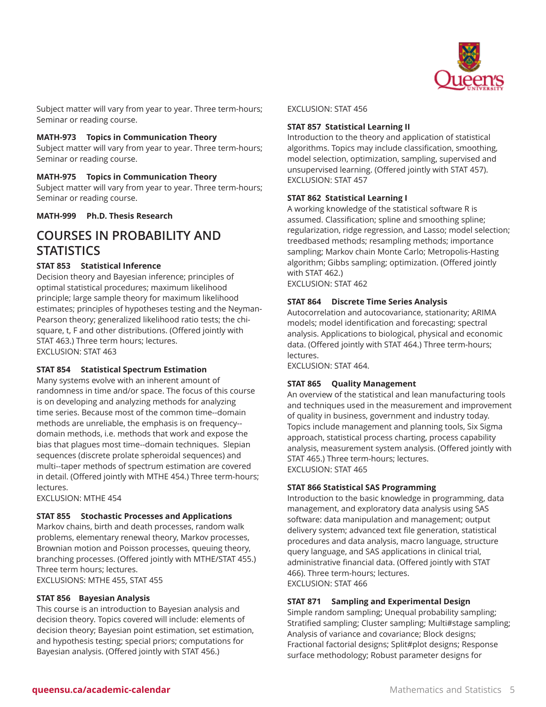

Subject matter will vary from year to year. Three term-hours; Seminar or reading course.

#### **MATH-973 Topics in Communication Theory**

Subject matter will vary from year to year. Three term-hours; Seminar or reading course.

#### **MATH-975 Topics in Communication Theory**

Subject matter will vary from year to year. Three term-hours; Seminar or reading course.

**MATH-999 Ph.D. Thesis Research**

# **COURSES IN PROBABILITY AND STATISTICS**

#### **STAT 853 Statistical Inference**

Decision theory and Bayesian inference; principles of optimal statistical procedures; maximum likelihood principle; large sample theory for maximum likelihood estimates; principles of hypotheses testing and the Neyman-Pearson theory; generalized likelihood ratio tests; the chisquare, t, F and other distributions. (Offered jointly with STAT 463.) Three term hours; lectures. EXCLUSION: STAT 463

#### **STAT 854 Statistical Spectrum Estimation**

Many systems evolve with an inherent amount of randomness in time and/or space. The focus of this course is on developing and analyzing methods for analyzing time series. Because most of the common time--domain methods are unreliable, the emphasis is on frequency- domain methods, i.e. methods that work and expose the bias that plagues most time--domain techniques. Slepian sequences (discrete prolate spheroidal sequences) and multi--taper methods of spectrum estimation are covered in detail. (Offered jointly with MTHE 454.) Three term-hours; lectures.

EXCLUSION: MTHE 454

#### **STAT 855 Stochastic Processes and Applications**

Markov chains, birth and death processes, random walk problems, elementary renewal theory, Markov processes, Brownian motion and Poisson processes, queuing theory, branching processes. (Offered jointly with MTHE/STAT 455.) Three term hours; lectures. EXCLUSIONS: MTHE 455, STAT 455

### **STAT 856 Bayesian Analysis**

This course is an introduction to Bayesian analysis and decision theory. Topics covered will include: elements of decision theory; Bayesian point estimation, set estimation, and hypothesis testing; special priors; computations for Bayesian analysis. (Offered jointly with STAT 456.)

#### EXCLUSION: STAT 456

#### **STAT 857 Statistical Learning II**

Introduction to the theory and application of statistical algorithms. Topics may include classification, smoothing, model selection, optimization, sampling, supervised and unsupervised learning. (Offered jointly with STAT 457). EXCLUSION: STAT 457

#### **STAT 862 Statistical Learning I**

A working knowledge of the statistical software R is assumed. Classification; spline and smoothing spline; regularization, ridge regression, and Lasso; model selection; treedbased methods; resampling methods; importance sampling; Markov chain Monte Carlo; Metropolis-Hasting algorithm; Gibbs sampling; optimization. (Offered jointly with STAT 462.) EXCLUSION: STAT 462

# **STAT 864 Discrete Time Series Analysis**

Autocorrelation and autocovariance, stationarity; ARIMA models; model identification and forecasting; spectral analysis. Applications to biological, physical and economic data. (Offered jointly with STAT 464.) Three term-hours; lectures.

EXCLUSION: STAT 464.

#### **STAT 865 Quality Management**

An overview of the statistical and lean manufacturing tools and techniques used in the measurement and improvement of quality in business, government and industry today. Topics include management and planning tools, Six Sigma approach, statistical process charting, process capability analysis, measurement system analysis. (Offered jointly with STAT 465.) Three term-hours; lectures. EXCLUSION: STAT 465

#### **STAT 866 Statistical SAS Programming**

Introduction to the basic knowledge in programming, data management, and exploratory data analysis using SAS software: data manipulation and management; output delivery system; advanced text file generation, statistical procedures and data analysis, macro language, structure query language, and SAS applications in clinical trial, administrative financial data. (Offered jointly with STAT 466). Three term-hours; lectures. EXCLUSION: STAT 466

#### **STAT 871 Sampling and Experimental Design**

Simple random sampling; Unequal probability sampling; Stratified sampling; Cluster sampling; Multi#stage sampling; Analysis of variance and covariance; Block designs; Fractional factorial designs; Split#plot designs; Response surface methodology; Robust parameter designs for